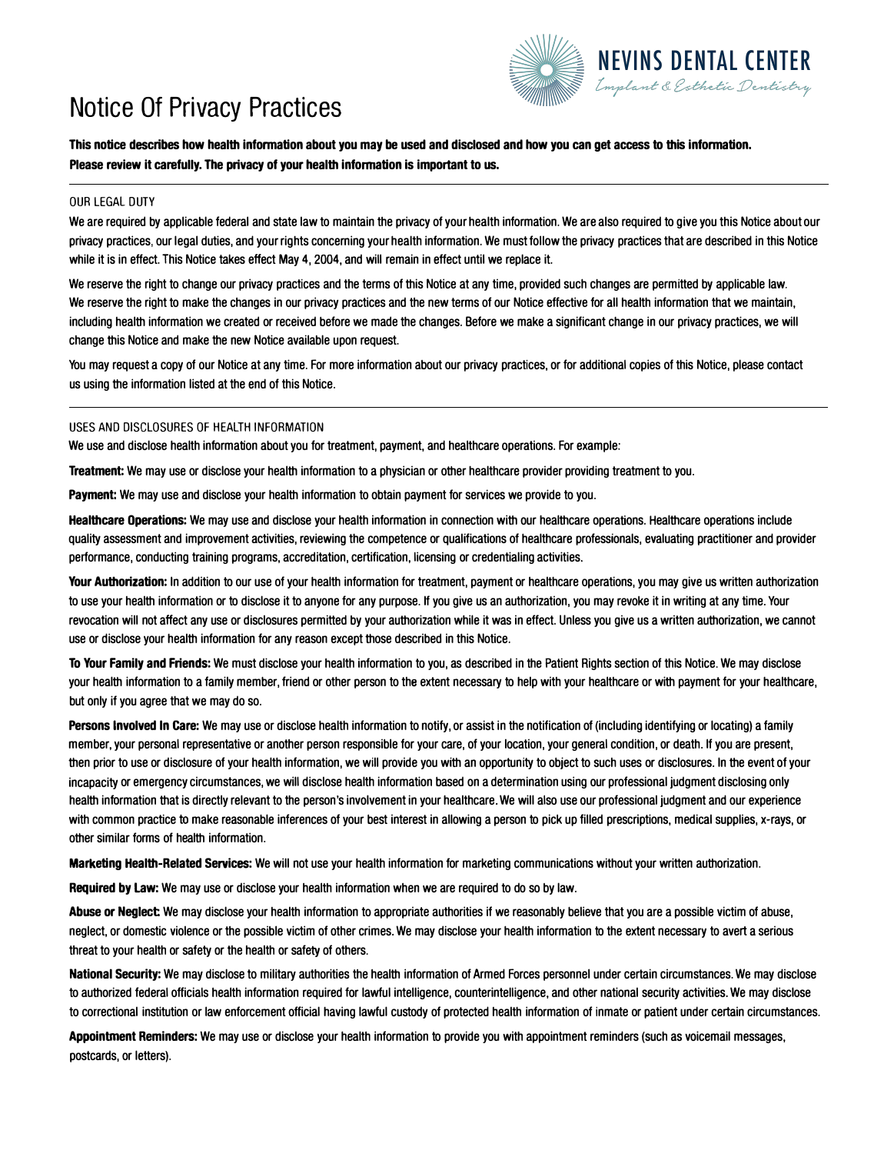# **Notice Of Privacy Practices**



**This notice describes how health infonnation about you may be used and disclosed and how you can get access to this infonnation. Please review it carefully. The privacy of your health information is important to us.** 

### OUR LEGAL DUTY

We are required by applicable federal and state law to maintain the privacy of your health information. We are also required to give you this Notice about our privacy practices, our legal duties, and your rights concerning your health information. We must follow the privacy practices that are described in this Notice while it is in effect. This Notice takes effect May 4, 2004, and will remain in effect until we replace it.

We reserve the right to change our privacy practices and the terms of this Notice at any time, provided such changes are permitted by applicable law. We reserve the right to make the changes in our privacy practices and the new terms of our Notice effective for all health information that we maintain, including health information we created or received before we made the changes. Before we make a significant change in our privacy practices, we will change this Notice and make the new Notice available upon request.

You may request a copy of our Notice at any time. For more information about our privacy practices, or tor additional copies of this Notice, please contact us using the information listed at the end of this Notice.

#### USES AND DISCLOSURES OF HEALTH INFORMATION

We use and disclose health information about you for treatment, payment, and healthcare operations. For example:

**Treatment:** We may use or disclose your health information to a physician or other healthcare provider providing treatment to you.

**Payment:** We may use and disclose your health information to obtain payment for services we provide to you.

**Healthcare Operations:** We may use and disclose your health information in connection with our healthcare operations. Healthcare operations include quality assessment and improvement activities, reviewing the competence or qualifications of healthcare professionals, evaluating practitioner and provider performance, conducting training programs, accreditation, certification, licensing or credentialing activities.

Your Authorization: In addition to our use of your health information for treatment, payment or healthcare operations, you may give us written authorization to use your health information or to disclose it to anyone tor any purpose. If you give us an authorization, you may revoke it in writing at any time. Your revocation will not affect any use or disclosures permitted by your authorization while it was in effect. Unless you give us a written authorization, we cannot use or disclose your health information for any reason except those described in this Notice.

**To Your Family and Friends:** We must disclose your health information to you, as described in the Patient Rights section of this Notice. We may disclose your health information to a family member, friend or other person to the extent necessary to help with your healthcare or with payment tor your healthcare, but only if you agree that we may do so.

**Persons Involved In Care:** We may use or disclose health information to notify, or assist in the notification of (including identifying or locating) a family member, your personal representative or another person responsible for your care, of your location, your general condition, or death. If you are present, then prior to use or disclosure of your health information, we will provide you with an opportunity to object to such uses or disclosures. In the event of your incapacity or emergency circumstances, we will disclose health information based on a determination using our professional judgment disclosing only health information that is directly relevant to the person's involvement in your healthcare. We will also use our professional judgment and our experience with common practice to make reasonable inferences of your best interest in allowing a person to pick up filled prescriptions, medical supplies, x-rays, or other similar forms of health information.

**Marketing Health-Related Services:** We will not use your health information for marketing communications without your written authorization.

**Required by Law:** We may use or disclose your health information when we are required to do so by law.

**Abuse or Neglect** We may disclose your health information to appropriate authorities if we reasonably believe that you are a possible victim of abuse, neglect, or domestic violence or the possible victim of other crimes. We may disclose your health information to the extent necessary to avert a serious threat to your health or safety or the health or safety of others.

**National Security:** We may disclose to military authorities the health information of Armed Forces personnel under certain circumstances. We may disclose to authorized federal officials health information required tor lawful intelligence, counterintelligence, and other national security activities. We may disclose to correctional institution or law enforcement official having lawful custody of protected health information of inmate or patient under certain circumstances.

**Appointment Reminders:** We may use or disclose your health information to provide you with appointment reminders (such as voicemail messages, postcards, or letters).